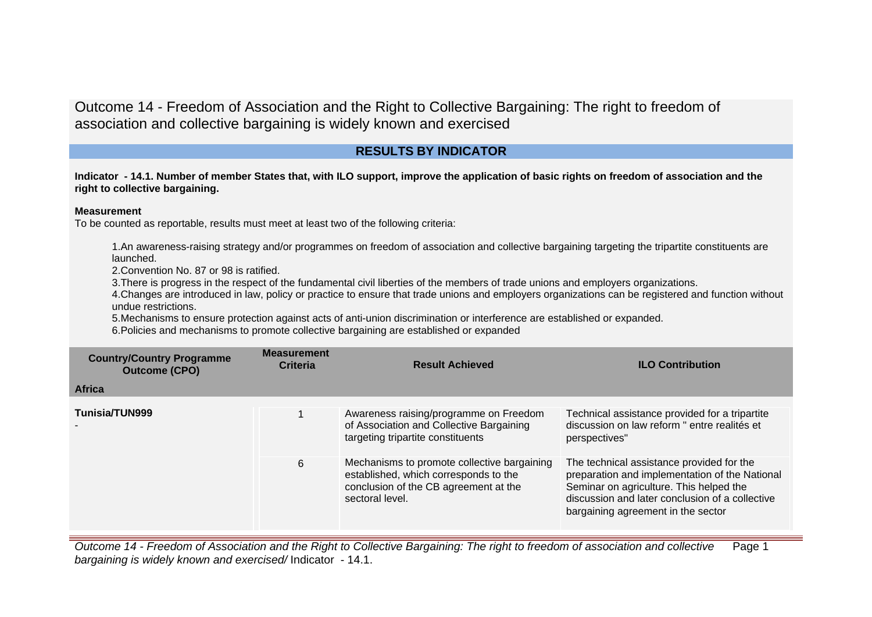# **RESULTS BY INDICATOR**

**Indicator - 14.1. Number of member States that, with ILO support, improve the application of basic rights on freedom of association and the right to collective bargaining.**

### **Measurement**

To be counted as reportable, results must meet at least two of the following criteria:

1.An awareness-raising strategy and/or programmes on freedom of association and collective bargaining targeting the tripartite constituents are launched.

2.Convention No. 87 or 98 is ratified.

3.There is progress in the respect of the fundamental civil liberties of the members of trade unions and employers organizations.

4.Changes are introduced in law, policy or practice to ensure that trade unions and employers organizations can be registered and function without undue restrictions.

5.Mechanisms to ensure protection against acts of anti-union discrimination or interference are established or expanded.

6.Policies and mechanisms to promote collective bargaining are established or expanded

| <b>Country/Country Programme</b><br><b>Outcome (CPO)</b><br><b>Africa</b> | <b>Measurement</b><br><b>Criteria</b> | <b>Result Achieved</b>                                                                                                                           | <b>ILO Contribution</b>                                                                                                                                                                                                         |
|---------------------------------------------------------------------------|---------------------------------------|--------------------------------------------------------------------------------------------------------------------------------------------------|---------------------------------------------------------------------------------------------------------------------------------------------------------------------------------------------------------------------------------|
|                                                                           |                                       |                                                                                                                                                  |                                                                                                                                                                                                                                 |
| Tunisia/TUN999                                                            |                                       | Awareness raising/programme on Freedom<br>of Association and Collective Bargaining<br>targeting tripartite constituents                          | Technical assistance provided for a tripartite<br>discussion on law reform " entre realités et<br>perspectives"                                                                                                                 |
|                                                                           | 6                                     | Mechanisms to promote collective bargaining<br>established, which corresponds to the<br>conclusion of the CB agreement at the<br>sectoral level. | The technical assistance provided for the<br>preparation and implementation of the National<br>Seminar on agriculture. This helped the<br>discussion and later conclusion of a collective<br>bargaining agreement in the sector |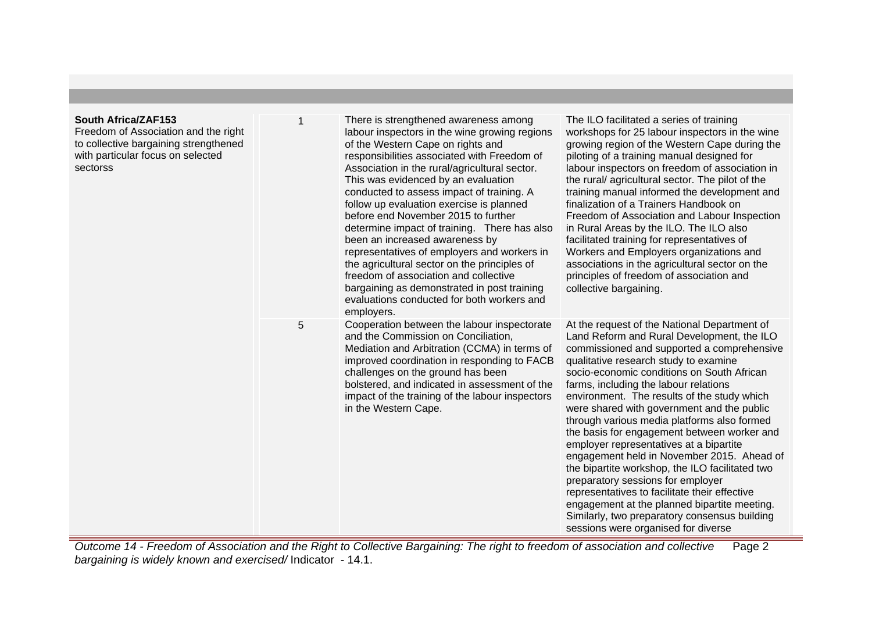### **South Africa/ZAF153**

Freedom of Association and the right to collective bargaining strengthened with particular focus on selected sectorss

| 1 | There is strengthened awareness among<br>labour inspectors in the wine growing regions<br>of the Western Cape on rights and<br>responsibilities associated with Freedom of<br>Association in the rural/agricultural sector.<br>This was evidenced by an evaluation<br>conducted to assess impact of training. A<br>follow up evaluation exercise is planned<br>before end November 2015 to further<br>determine impact of training. There has also<br>been an increased awareness by<br>representatives of employers and workers in<br>the agricultural sector on the principles of<br>freedom of association and collective<br>bargaining as demonstrated in post training<br>evaluations conducted for both workers and<br>employers. | The ILO facilitated a series of training<br>workshops for 25 labour inspectors in the wine<br>growing region of the Western Cape during the<br>piloting of a training manual designed for<br>labour inspectors on freedom of association in<br>the rural/agricultural sector. The pilot of the<br>training manual informed the development and<br>finalization of a Trainers Handbook on<br>Freedom of Association and Labour Inspection<br>in Rural Areas by the ILO. The ILO also<br>facilitated training for representatives of<br>Workers and Employers organizations and<br>associations in the agricultural sector on the<br>principles of freedom of association and<br>collective bargaining.                                                                                                                                         |
|---|-----------------------------------------------------------------------------------------------------------------------------------------------------------------------------------------------------------------------------------------------------------------------------------------------------------------------------------------------------------------------------------------------------------------------------------------------------------------------------------------------------------------------------------------------------------------------------------------------------------------------------------------------------------------------------------------------------------------------------------------|-----------------------------------------------------------------------------------------------------------------------------------------------------------------------------------------------------------------------------------------------------------------------------------------------------------------------------------------------------------------------------------------------------------------------------------------------------------------------------------------------------------------------------------------------------------------------------------------------------------------------------------------------------------------------------------------------------------------------------------------------------------------------------------------------------------------------------------------------|
| 5 | Cooperation between the labour inspectorate<br>and the Commission on Conciliation,<br>Mediation and Arbitration (CCMA) in terms of<br>improved coordination in responding to FACB<br>challenges on the ground has been<br>bolstered, and indicated in assessment of the<br>impact of the training of the labour inspectors<br>in the Western Cape.                                                                                                                                                                                                                                                                                                                                                                                      | At the request of the National Department of<br>Land Reform and Rural Development, the ILO<br>commissioned and supported a comprehensive<br>qualitative research study to examine<br>socio-economic conditions on South African<br>farms, including the labour relations<br>environment. The results of the study which<br>were shared with government and the public<br>through various media platforms also formed<br>the basis for engagement between worker and<br>employer representatives at a bipartite<br>engagement held in November 2015. Ahead of<br>the bipartite workshop, the ILO facilitated two<br>preparatory sessions for employer<br>representatives to facilitate their effective<br>engagement at the planned bipartite meeting.<br>Similarly, two preparatory consensus building<br>sessions were organised for diverse |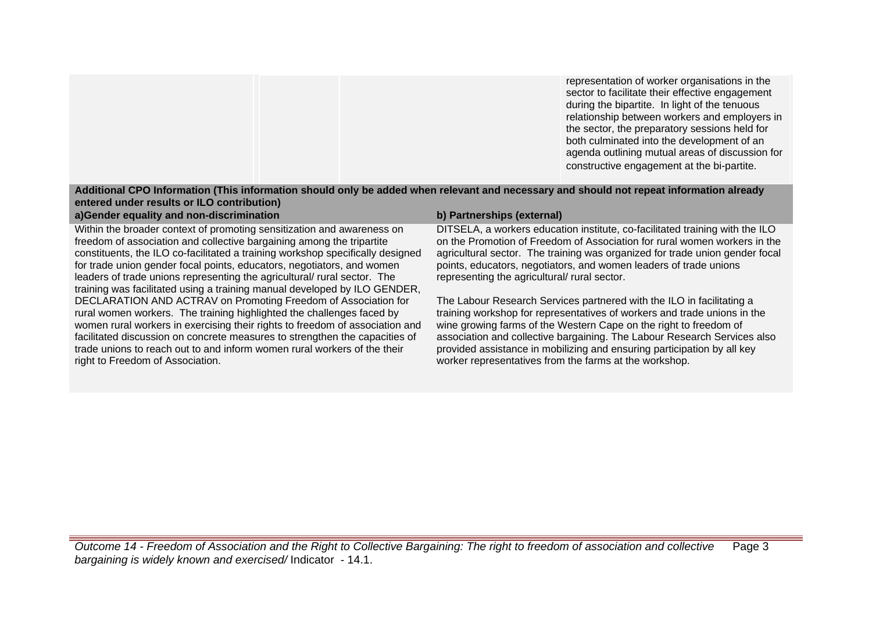representation of worker organisations in the sector to facilitate their effective engagement during the bipartite. In light of the tenuous relationship between workers and employers in the sector, the preparatory sessions held for both culminated into the development of an agenda outlining mutual areas of discussion for constructive engagement at the bi-partite.

## **Additional CPO Information (This information should only be added when relevant and necessary and should not repeat information already entered under results or ILO contribution)**

## **a)Gender equality and non-discrimination b) Partnerships (external)**

Within the broader context of promoting sensitization and awareness on freedom of association and collective bargaining among the tripartite constituents, the ILO co-facilitated a training workshop specifically designed for trade union gender focal points, educators, negotiators, and women leaders of trade unions representing the agricultural/ rural sector. The training was facilitated using a training manual developed by ILO GENDER, DECLARATION AND ACTRAV on Promoting Freedom of Association for rural women workers. The training highlighted the challenges faced by women rural workers in exercising their rights to freedom of association and facilitated discussion on concrete measures to strengthen the capacities of trade unions to reach out to and inform women rural workers of the their right to Freedom of Association.

DITSELA, a workers education institute, co-facilitated training with the ILO on the Promotion of Freedom of Association for rural women workers in the agricultural sector. The training was organized for trade union gender focal points, educators, negotiators, and women leaders of trade unions representing the agricultural/ rural sector.

The Labour Research Services partnered with the ILO in facilitating a training workshop for representatives of workers and trade unions in the wine growing farms of the Western Cape on the right to freedom of association and collective bargaining. The Labour Research Services also provided assistance in mobilizing and ensuring participation by all key worker representatives from the farms at the workshop.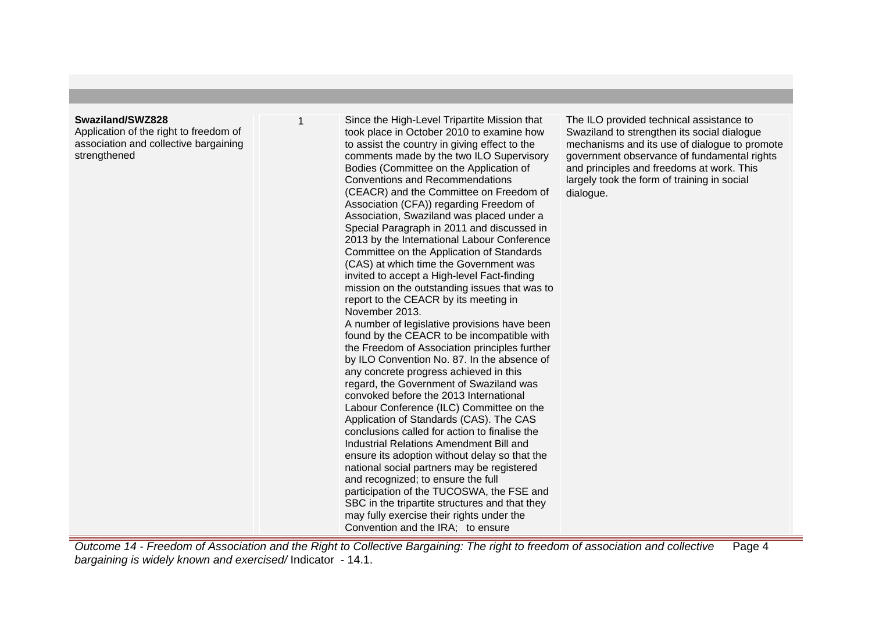#### **Swaziland/SWZ828**

Application of the right to freedom of association and collective bargaining strengthened

Since the High-Level Tripartite Mission that took place in October 2010 to examine how to assist the country in giving effect to the comments made by the two ILO Supervisory Bodies (Committee on the Application of Conventions and Recommendations (CEACR) and the Committee on Freedom of Association (CFA)) regarding Freedom of Association, Swaziland was placed under a Special Paragraph in 2011 and discussed in 2013 by the International Labour Conference Committee on the Application of Standards (CAS) at which time the Government was invited to accept a High-level Fact-finding mission on the outstanding issues that was to report to the CEACR by its meeting in November 2013. A number of legislative provisions have been found by the CEACR to be incompatible with the Freedom of Association principles further by ILO Convention No. 87. In the absence of any concrete progress achieved in this regard, the Government of Swaziland was convoked before the 2013 International Labour Conference (ILC) Committee on the Application of Standards (CAS). The CAS conclusions called for action to finalise the Industrial Relations Amendment Bill and ensure its adoption without delay so that the national social partners may be registered and recognized; to ensure the full participation of the TUCOSWA, the FSE and SBC in the tripartite structures and that they may fully exercise their rights under the Convention and the IRA; to ensure

The ILO provided technical assistance to Swaziland to strengthen its social dialogue mechanisms and its use of dialogue to promote government observance of fundamental rights and principles and freedoms at work. This largely took the form of training in social dialogue.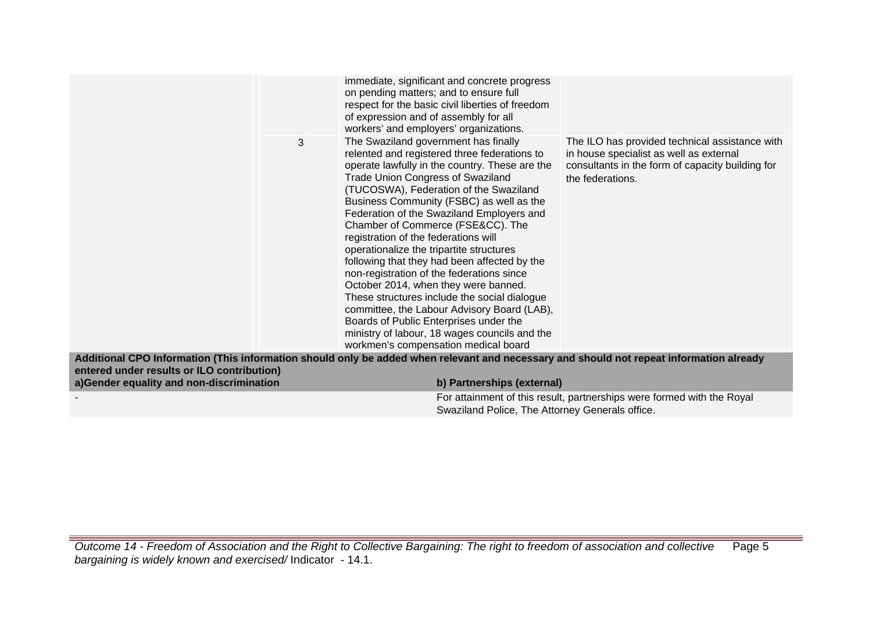| 3                                                                                                                                       | immediate, significant and concrete progress<br>on pending matters; and to ensure full<br>respect for the basic civil liberties of freedom<br>of expression and of assembly for all<br>workers' and employers' organizations.<br>The Swaziland government has finally                                                                                                                                                                                                                                                                                                                                                                                                                                                                                                         | The ILO has provided technical assistance with                                                                  |
|-----------------------------------------------------------------------------------------------------------------------------------------|-------------------------------------------------------------------------------------------------------------------------------------------------------------------------------------------------------------------------------------------------------------------------------------------------------------------------------------------------------------------------------------------------------------------------------------------------------------------------------------------------------------------------------------------------------------------------------------------------------------------------------------------------------------------------------------------------------------------------------------------------------------------------------|-----------------------------------------------------------------------------------------------------------------|
|                                                                                                                                         | relented and registered three federations to<br>operate lawfully in the country. These are the<br><b>Trade Union Congress of Swaziland</b><br>(TUCOSWA), Federation of the Swaziland<br>Business Community (FSBC) as well as the<br>Federation of the Swaziland Employers and<br>Chamber of Commerce (FSE&CC). The<br>registration of the federations will<br>operationalize the tripartite structures<br>following that they had been affected by the<br>non-registration of the federations since<br>October 2014, when they were banned.<br>These structures include the social dialogue<br>committee, the Labour Advisory Board (LAB),<br>Boards of Public Enterprises under the<br>ministry of labour, 18 wages councils and the<br>workmen's compensation medical board | in house specialist as well as external<br>consultants in the form of capacity building for<br>the federations. |
| Additional CPO Information (This information should only be added when relevant and necessary and should not repeat information already |                                                                                                                                                                                                                                                                                                                                                                                                                                                                                                                                                                                                                                                                                                                                                                               |                                                                                                                 |
| entered under results or ILO contribution)<br>a)Gender equality and non-discrimination                                                  | b) Partnerships (external)                                                                                                                                                                                                                                                                                                                                                                                                                                                                                                                                                                                                                                                                                                                                                    |                                                                                                                 |
|                                                                                                                                         |                                                                                                                                                                                                                                                                                                                                                                                                                                                                                                                                                                                                                                                                                                                                                                               | For attainment of this result, partnerships were formed with the Royal                                          |
|                                                                                                                                         | Swaziland Police, The Attorney Generals office.                                                                                                                                                                                                                                                                                                                                                                                                                                                                                                                                                                                                                                                                                                                               |                                                                                                                 |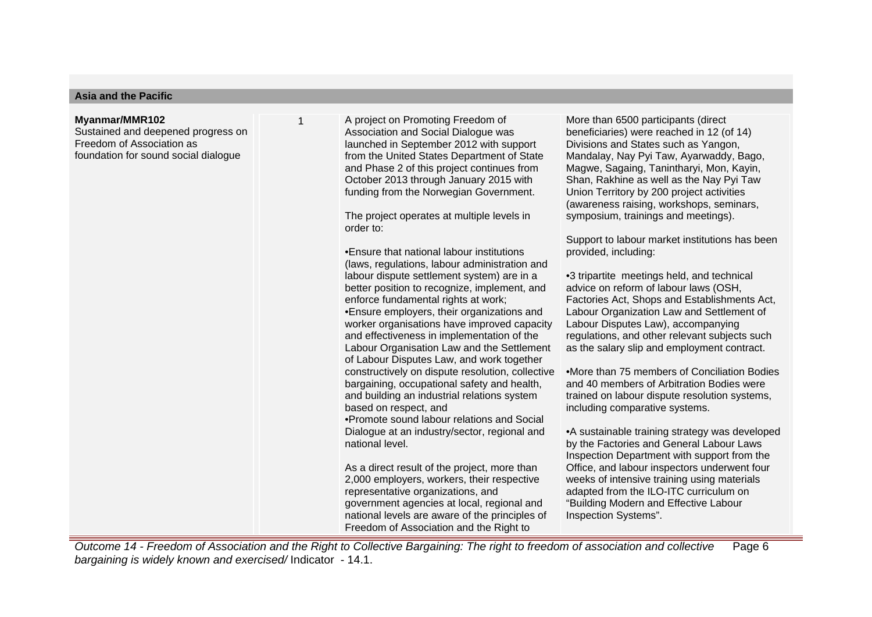#### **Asia and the Pacific**

#### **Myanmar/MMR102**

Sustained and deepened progress on Freedom of Association as foundation for sound social dialogue

1 A project on Promoting Freedom of Association and Social Dialogue was launched in September 2012 with support from the United States Department of State and Phase 2 of this project continues from October 2013 through January 2015 with funding from the Norwegian Government.

The project operates at multiple levels in order to:

• Ensure that national labour institutions (laws, regulations, labour administration and labour dispute settlement system) are in a better position to recognize, implement, and enforce fundamental rights at work;

• Ensure employers, their organizations and worker organisations have improved capacity and effectiveness in implementation of the Labour Organisation Law and the Settlement of Labour Disputes Law, and work together constructively on dispute resolution, collective bargaining, occupational safety and health, and building an industrial relations system based on respect, and

• Promote sound labour relations and Social Dialogue at an industry/sector, regional and national level.

As a direct result of the project, more than 2,000 employers, workers, their respective representative organizations, and government agencies at local, regional and national levels are aware of the principles of Freedom of Association and the Right to

More than 6500 participants (direct beneficiaries) were reached in 12 (of 14) Divisions and States such as Yangon, Mandalay, Nay Pyi Taw, Ayarwaddy, Bago, Magwe, Sagaing, Tanintharyi, Mon, Kayin, Shan, Rakhine as well as the Nay Pyi Taw Union Territory by 200 project activities (awareness raising, workshops, seminars, symposium, trainings and meetings).

Support to labour market institutions has been provided, including:

• 3 tripartite meetings held, and technical advice on reform of labour laws (OSH, Factories Act, Shops and Establishments Act, Labour Organization Law and Settlement of Labour Disputes Law), accompanying regulations, and other relevant subjects such as the salary slip and employment contract.

• More than 75 members of Conciliation Bodies and 40 members of Arbitration Bodies were trained on labour dispute resolution systems, including comparative systems.

• A sustainable training strategy was developed by the Factories and General Labour Laws Inspection Department with support from the Office, and labour inspectors underwent four weeks of intensive training using materials adapted from the ILO-ITC curriculum on "Building Modern and Effective Labour Inspection Systems".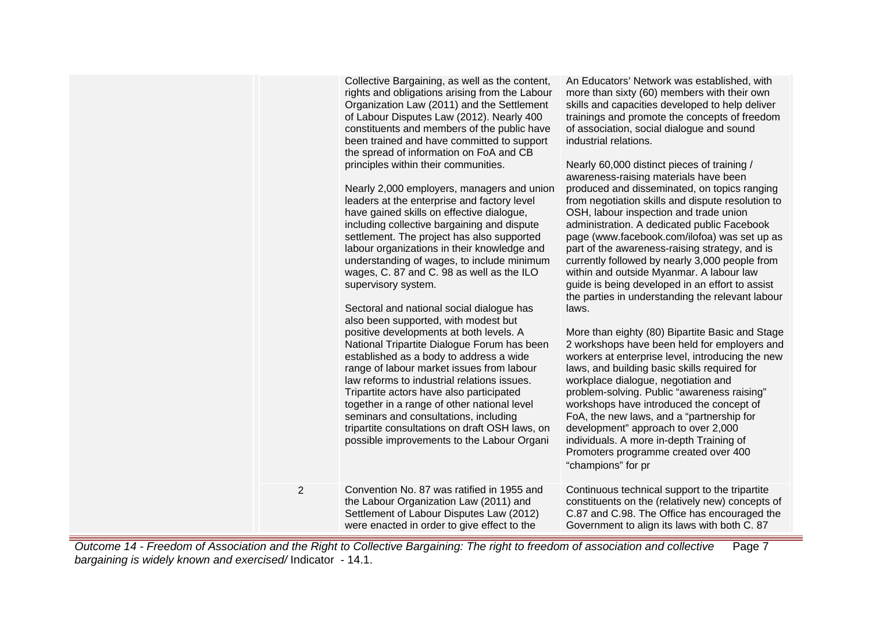|                         | Collective Bargaining, as well as the content,<br>rights and obligations arising from the Labour<br>Organization Law (2011) and the Settlement<br>of Labour Disputes Law (2012). Nearly 400<br>constituents and members of the public have<br>been trained and have committed to support<br>the spread of information on FoA and CB<br>principles within their communities.<br>Nearly 2,000 employers, managers and union<br>leaders at the enterprise and factory level<br>have gained skills on effective dialogue,<br>including collective bargaining and dispute<br>settlement. The project has also supported<br>labour organizations in their knowledge and<br>understanding of wages, to include minimum<br>wages, C. 87 and C. 98 as well as the ILO<br>supervisory system.<br>Sectoral and national social dialogue has<br>also been supported, with modest but<br>positive developments at both levels. A<br>National Tripartite Dialogue Forum has been<br>established as a body to address a wide<br>range of labour market issues from labour<br>law reforms to industrial relations issues.<br>Tripartite actors have also participated<br>together in a range of other national level<br>seminars and consultations, including<br>tripartite consultations on draft OSH laws, on<br>possible improvements to the Labour Organi | An Educators' Network was established, with<br>more than sixty (60) members with their own<br>skills and capacities developed to help deliver<br>trainings and promote the concepts of freedom<br>of association, social dialogue and sound<br>industrial relations.<br>Nearly 60,000 distinct pieces of training /<br>awareness-raising materials have been<br>produced and disseminated, on topics ranging<br>from negotiation skills and dispute resolution to<br>OSH, labour inspection and trade union<br>administration. A dedicated public Facebook<br>page (www.facebook.com/ilofoa) was set up as<br>part of the awareness-raising strategy, and is<br>currently followed by nearly 3,000 people from<br>within and outside Myanmar. A labour law<br>guide is being developed in an effort to assist<br>the parties in understanding the relevant labour<br>laws.<br>More than eighty (80) Bipartite Basic and Stage<br>2 workshops have been held for employers and<br>workers at enterprise level, introducing the new<br>laws, and building basic skills required for<br>workplace dialogue, negotiation and<br>problem-solving. Public "awareness raising"<br>workshops have introduced the concept of<br>FoA, the new laws, and a "partnership for<br>development" approach to over 2,000<br>individuals. A more in-depth Training of<br>Promoters programme created over 400<br>"champions" for pr |
|-------------------------|-----------------------------------------------------------------------------------------------------------------------------------------------------------------------------------------------------------------------------------------------------------------------------------------------------------------------------------------------------------------------------------------------------------------------------------------------------------------------------------------------------------------------------------------------------------------------------------------------------------------------------------------------------------------------------------------------------------------------------------------------------------------------------------------------------------------------------------------------------------------------------------------------------------------------------------------------------------------------------------------------------------------------------------------------------------------------------------------------------------------------------------------------------------------------------------------------------------------------------------------------------------------------------------------------------------------------------------------------|-------------------------------------------------------------------------------------------------------------------------------------------------------------------------------------------------------------------------------------------------------------------------------------------------------------------------------------------------------------------------------------------------------------------------------------------------------------------------------------------------------------------------------------------------------------------------------------------------------------------------------------------------------------------------------------------------------------------------------------------------------------------------------------------------------------------------------------------------------------------------------------------------------------------------------------------------------------------------------------------------------------------------------------------------------------------------------------------------------------------------------------------------------------------------------------------------------------------------------------------------------------------------------------------------------------------------------------------------------------------------------------------------------------------|
| $\overline{\mathbf{c}}$ | Convention No. 87 was ratified in 1955 and<br>the Labour Organization Law (2011) and<br>Settlement of Labour Disputes Law (2012)<br>were enacted in order to give effect to the                                                                                                                                                                                                                                                                                                                                                                                                                                                                                                                                                                                                                                                                                                                                                                                                                                                                                                                                                                                                                                                                                                                                                               | Continuous technical support to the tripartite<br>constituents on the (relatively new) concepts of<br>C.87 and C.98. The Office has encouraged the<br>Government to align its laws with both C. 87                                                                                                                                                                                                                                                                                                                                                                                                                                                                                                                                                                                                                                                                                                                                                                                                                                                                                                                                                                                                                                                                                                                                                                                                                |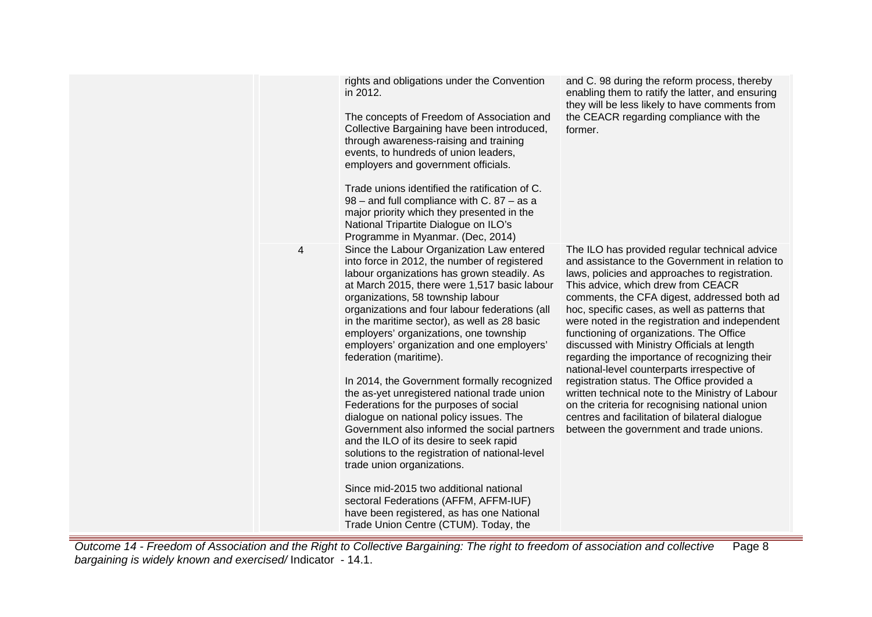|   | rights and obligations under the Convention<br>in 2012.<br>The concepts of Freedom of Association and<br>Collective Bargaining have been introduced,<br>through awareness-raising and training<br>events, to hundreds of union leaders,<br>employers and government officials.<br>Trade unions identified the ratification of C.<br>$98$ – and full compliance with C. 87 – as a<br>major priority which they presented in the<br>National Tripartite Dialogue on ILO's<br>Programme in Myanmar. (Dec, 2014)                                                                                                                                                                                                                                                                                                                                                                                                                                                                               | and C. 98 during the reform process, thereby<br>enabling them to ratify the latter, and ensuring<br>they will be less likely to have comments from<br>the CEACR regarding compliance with the<br>former.                                                                                                                                                                                                                                                                                                                                                                                                                                                                                                                                                                                |
|---|--------------------------------------------------------------------------------------------------------------------------------------------------------------------------------------------------------------------------------------------------------------------------------------------------------------------------------------------------------------------------------------------------------------------------------------------------------------------------------------------------------------------------------------------------------------------------------------------------------------------------------------------------------------------------------------------------------------------------------------------------------------------------------------------------------------------------------------------------------------------------------------------------------------------------------------------------------------------------------------------|-----------------------------------------------------------------------------------------------------------------------------------------------------------------------------------------------------------------------------------------------------------------------------------------------------------------------------------------------------------------------------------------------------------------------------------------------------------------------------------------------------------------------------------------------------------------------------------------------------------------------------------------------------------------------------------------------------------------------------------------------------------------------------------------|
| 4 | Since the Labour Organization Law entered<br>into force in 2012, the number of registered<br>labour organizations has grown steadily. As<br>at March 2015, there were 1,517 basic labour<br>organizations, 58 township labour<br>organizations and four labour federations (all<br>in the maritime sector), as well as 28 basic<br>employers' organizations, one township<br>employers' organization and one employers'<br>federation (maritime).<br>In 2014, the Government formally recognized<br>the as-yet unregistered national trade union<br>Federations for the purposes of social<br>dialogue on national policy issues. The<br>Government also informed the social partners<br>and the ILO of its desire to seek rapid<br>solutions to the registration of national-level<br>trade union organizations.<br>Since mid-2015 two additional national<br>sectoral Federations (AFFM, AFFM-IUF)<br>have been registered, as has one National<br>Trade Union Centre (CTUM). Today, the | The ILO has provided regular technical advice<br>and assistance to the Government in relation to<br>laws, policies and approaches to registration.<br>This advice, which drew from CEACR<br>comments, the CFA digest, addressed both ad<br>hoc, specific cases, as well as patterns that<br>were noted in the registration and independent<br>functioning of organizations. The Office<br>discussed with Ministry Officials at length<br>regarding the importance of recognizing their<br>national-level counterparts irrespective of<br>registration status. The Office provided a<br>written technical note to the Ministry of Labour<br>on the criteria for recognising national union<br>centres and facilitation of bilateral dialogue<br>between the government and trade unions. |

Outcome 14 - Freedom of Association and the Right to Collective Bargaining: The right to freedom of association and collective bargaining is widely known and exercised/ Indicator - 14.1. Page 8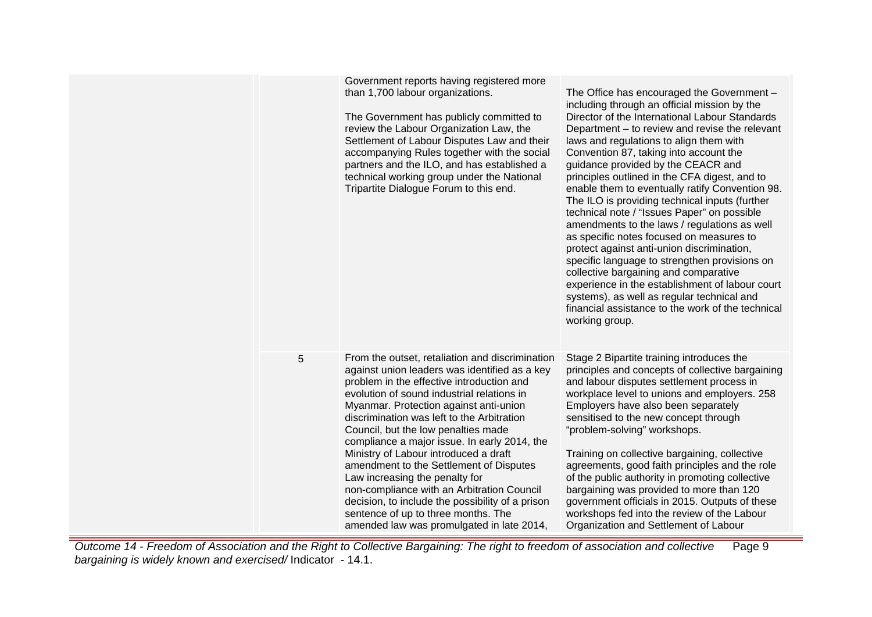|   | Government reports having registered more<br>than 1,700 labour organizations.<br>The Government has publicly committed to<br>review the Labour Organization Law, the<br>Settlement of Labour Disputes Law and their<br>accompanying Rules together with the social<br>partners and the ILO, and has established a<br>technical working group under the National<br>Tripartite Dialogue Forum to this end.                                                                                                                                                                                                                                                                              | The Office has encouraged the Government -<br>including through an official mission by the<br>Director of the International Labour Standards<br>Department – to review and revise the relevant<br>laws and regulations to align them with<br>Convention 87, taking into account the<br>guidance provided by the CEACR and<br>principles outlined in the CFA digest, and to<br>enable them to eventually ratify Convention 98.<br>The ILO is providing technical inputs (further<br>technical note / "Issues Paper" on possible<br>amendments to the laws / regulations as well<br>as specific notes focused on measures to<br>protect against anti-union discrimination,<br>specific language to strengthen provisions on<br>collective bargaining and comparative<br>experience in the establishment of labour court<br>systems), as well as regular technical and<br>financial assistance to the work of the technical<br>working group. |
|---|----------------------------------------------------------------------------------------------------------------------------------------------------------------------------------------------------------------------------------------------------------------------------------------------------------------------------------------------------------------------------------------------------------------------------------------------------------------------------------------------------------------------------------------------------------------------------------------------------------------------------------------------------------------------------------------|--------------------------------------------------------------------------------------------------------------------------------------------------------------------------------------------------------------------------------------------------------------------------------------------------------------------------------------------------------------------------------------------------------------------------------------------------------------------------------------------------------------------------------------------------------------------------------------------------------------------------------------------------------------------------------------------------------------------------------------------------------------------------------------------------------------------------------------------------------------------------------------------------------------------------------------------|
| 5 | From the outset, retaliation and discrimination<br>against union leaders was identified as a key<br>problem in the effective introduction and<br>evolution of sound industrial relations in<br>Myanmar. Protection against anti-union<br>discrimination was left to the Arbitration<br>Council, but the low penalties made<br>compliance a major issue. In early 2014, the<br>Ministry of Labour introduced a draft<br>amendment to the Settlement of Disputes<br>Law increasing the penalty for<br>non-compliance with an Arbitration Council<br>decision, to include the possibility of a prison<br>sentence of up to three months. The<br>amended law was promulgated in late 2014, | Stage 2 Bipartite training introduces the<br>principles and concepts of collective bargaining<br>and labour disputes settlement process in<br>workplace level to unions and employers. 258<br>Employers have also been separately<br>sensitised to the new concept through<br>"problem-solving" workshops.<br>Training on collective bargaining, collective<br>agreements, good faith principles and the role<br>of the public authority in promoting collective<br>bargaining was provided to more than 120<br>government officials in 2015. Outputs of these<br>workshops fed into the review of the Labour<br>Organization and Settlement of Labour                                                                                                                                                                                                                                                                                     |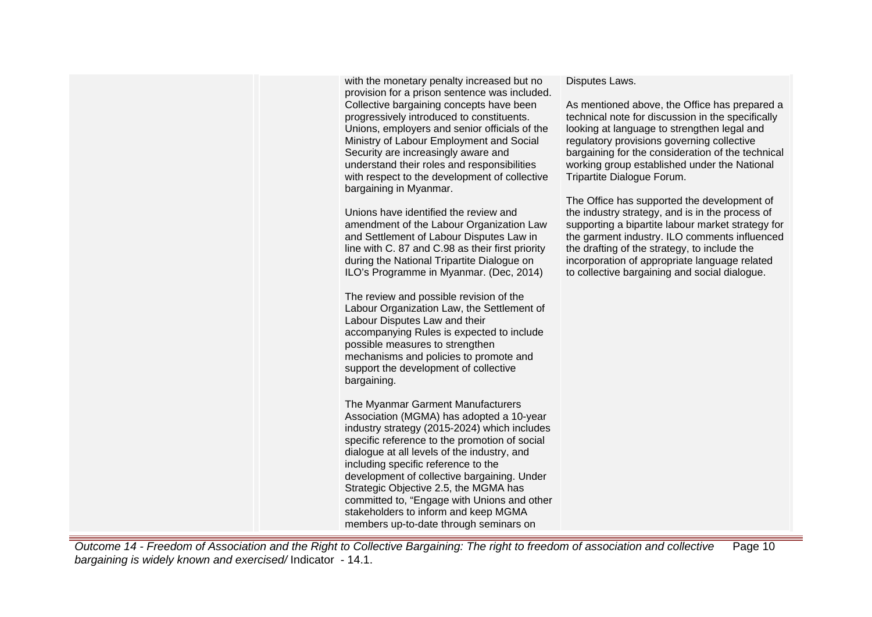with the monetary penalty increased but no provision for a prison sentence was included. Collective bargaining concepts have been progressively introduced to constituents. Unions, employers and senior officials of the Ministry of Labour Employment and Social Security are increasingly aware and understand their roles and responsibilities with respect to the development of collective bargaining in Myanmar.

Unions have identified the review and amendment of the Labour Organization Law and Settlement of Labour Disputes Law in line with C. 87 and C.98 as their first priority during the National Tripartite Dialogue on ILO's Programme in Myanmar. (Dec, 2014)

The review and possible revision of the Labour Organization Law, the Settlement of Labour Disputes Law and their accompanying Rules is expected to include possible measures to strengthen mechanisms and policies to promote and support the development of collective bargaining.

The Myanmar Garment Manufacturers Association (MGMA) has adopted a 10-year industry strategy (2015-2024) which includes specific reference to the promotion of social dialogue at all levels of the industry, and including specific reference to the development of collective bargaining. Under Strategic Objective 2.5, the MGMA has committed to, "Engage with Unions and other stakeholders to inform and keep MGMA members up-to-date through seminars on

#### Disputes Laws.

As mentioned above, the Office has prepared a technical note for discussion in the specifically looking at language to strengthen legal and regulatory provisions governing collective bargaining for the consideration of the technical working group established under the National Tripartite Dialogue Forum.

The Office has supported the development of the industry strategy, and is in the process of supporting a bipartite labour market strategy for the garment industry. ILO comments influenced the drafting of the strategy, to include the incorporation of appropriate language related to collective bargaining and social dialogue.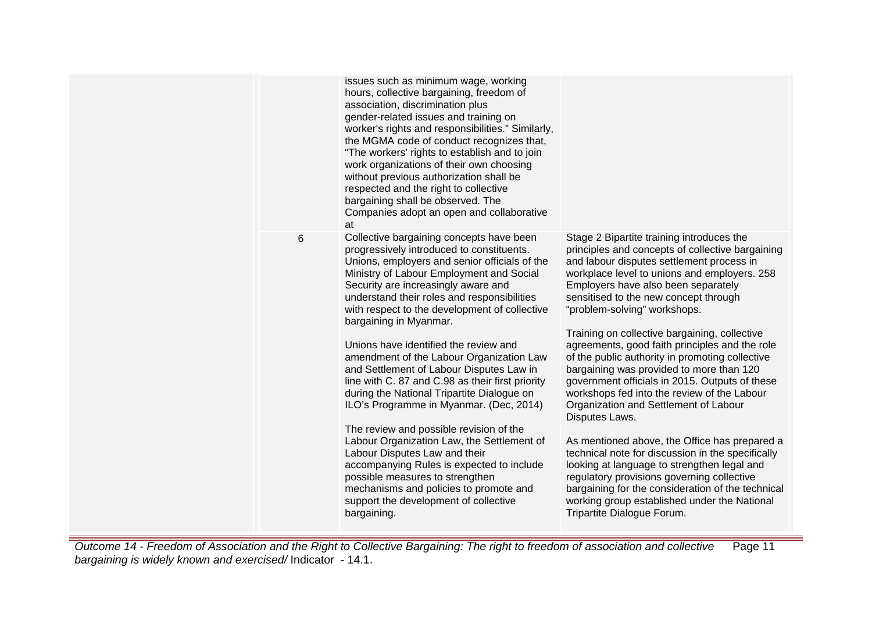|   | issues such as minimum wage, working<br>hours, collective bargaining, freedom of<br>association, discrimination plus<br>gender-related issues and training on<br>worker's rights and responsibilities." Similarly,<br>the MGMA code of conduct recognizes that,<br>"The workers' rights to establish and to join<br>work organizations of their own choosing<br>without previous authorization shall be<br>respected and the right to collective<br>bargaining shall be observed. The<br>Companies adopt an open and collaborative<br>at                                                                                                                                                                                                                                                                                                                                                                                                      |                                                                                                                                                                                                                                                                                                                                                                                                                                                                                                                                                                                                                                                                                                                                                                                                                                                                                                                                                                                                                |
|---|-----------------------------------------------------------------------------------------------------------------------------------------------------------------------------------------------------------------------------------------------------------------------------------------------------------------------------------------------------------------------------------------------------------------------------------------------------------------------------------------------------------------------------------------------------------------------------------------------------------------------------------------------------------------------------------------------------------------------------------------------------------------------------------------------------------------------------------------------------------------------------------------------------------------------------------------------|----------------------------------------------------------------------------------------------------------------------------------------------------------------------------------------------------------------------------------------------------------------------------------------------------------------------------------------------------------------------------------------------------------------------------------------------------------------------------------------------------------------------------------------------------------------------------------------------------------------------------------------------------------------------------------------------------------------------------------------------------------------------------------------------------------------------------------------------------------------------------------------------------------------------------------------------------------------------------------------------------------------|
| 6 | Collective bargaining concepts have been<br>progressively introduced to constituents.<br>Unions, employers and senior officials of the<br>Ministry of Labour Employment and Social<br>Security are increasingly aware and<br>understand their roles and responsibilities<br>with respect to the development of collective<br>bargaining in Myanmar.<br>Unions have identified the review and<br>amendment of the Labour Organization Law<br>and Settlement of Labour Disputes Law in<br>line with C. 87 and C.98 as their first priority<br>during the National Tripartite Dialogue on<br>ILO's Programme in Myanmar. (Dec, 2014)<br>The review and possible revision of the<br>Labour Organization Law, the Settlement of<br>Labour Disputes Law and their<br>accompanying Rules is expected to include<br>possible measures to strengthen<br>mechanisms and policies to promote and<br>support the development of collective<br>bargaining. | Stage 2 Bipartite training introduces the<br>principles and concepts of collective bargaining<br>and labour disputes settlement process in<br>workplace level to unions and employers. 258<br>Employers have also been separately<br>sensitised to the new concept through<br>"problem-solving" workshops.<br>Training on collective bargaining, collective<br>agreements, good faith principles and the role<br>of the public authority in promoting collective<br>bargaining was provided to more than 120<br>government officials in 2015. Outputs of these<br>workshops fed into the review of the Labour<br>Organization and Settlement of Labour<br>Disputes Laws.<br>As mentioned above, the Office has prepared a<br>technical note for discussion in the specifically<br>looking at language to strengthen legal and<br>regulatory provisions governing collective<br>bargaining for the consideration of the technical<br>working group established under the National<br>Tripartite Dialogue Forum. |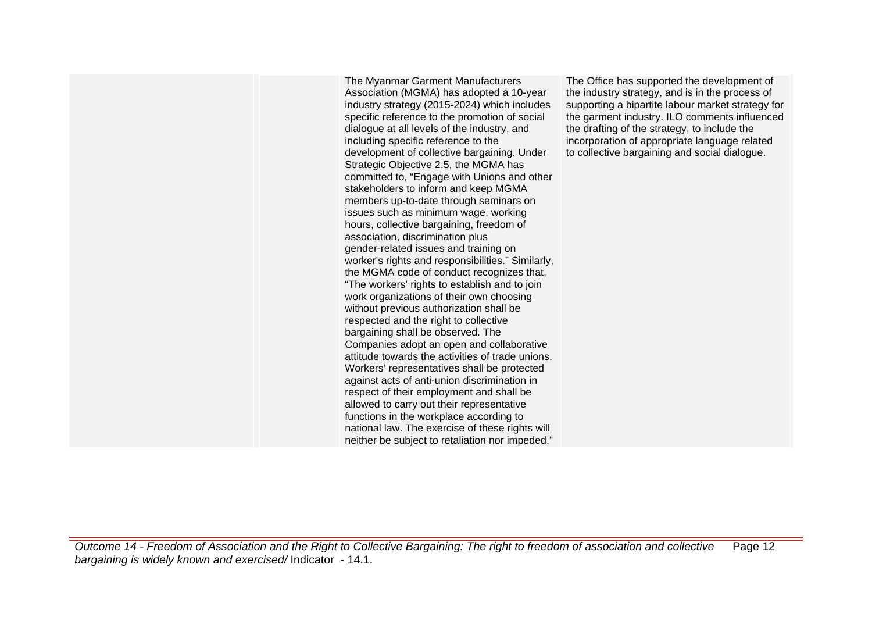The Myanmar Garment Manufacturers Association (MGMA) has adopted a 10-year industry strategy (2015-2024) which includes specific reference to the promotion of social dialogue at all levels of the industry, and including specific reference to the development of collective bargaining. Under Strategic Objective 2.5, the MGMA has committed to, "Engage with Unions and other stakeholders to inform and keep MGMA members up-to-date through seminars on issues such as minimum wage, working hours, collective bargaining, freedom of association, discrimination plus gender-related issues and training on worker's rights and responsibilities." Similarly, the MGMA code of conduct recognizes that, "The workers' rights to establish and to join work organizations of their own choosing without previous authorization shall be respected and the right to collective bargaining shall be observed. The Companies adopt an open and collaborative attitude towards the activities of trade unions. Workers' representatives shall be protected against acts of anti-union discrimination in respect of their employment and shall be allowed to carry out their representative functions in the workplace according to national law. The exercise of these rights will neither be subject to retaliation nor impeded."

The Office has supported the development of the industry strategy, and is in the process of supporting a bipartite labour market strategy for the garment industry. ILO comments influenced the drafting of the strategy, to include the incorporation of appropriate language related to collective bargaining and social dialogue.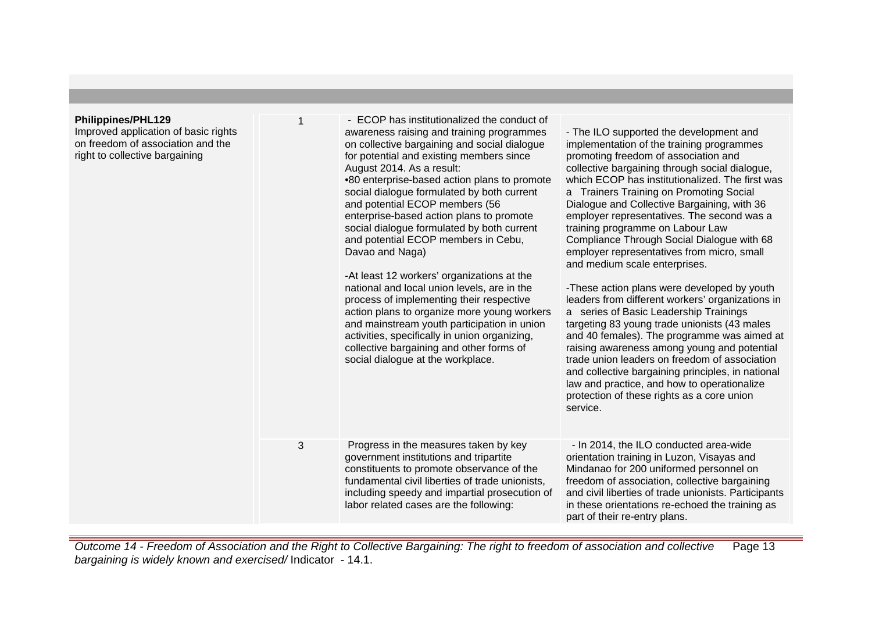| Philippines/PHL129<br>Improved application of basic rights<br>on freedom of association and the<br>right to collective bargaining |   | - ECOP has institutionalized the conduct of<br>awareness raising and training programmes<br>on collective bargaining and social dialogue<br>for potential and existing members since<br>August 2014. As a result:<br>•80 enterprise-based action plans to promote<br>social dialogue formulated by both current<br>and potential ECOP members (56<br>enterprise-based action plans to promote<br>social dialogue formulated by both current<br>and potential ECOP members in Cebu,<br>Davao and Naga)<br>-At least 12 workers' organizations at the<br>national and local union levels, are in the<br>process of implementing their respective<br>action plans to organize more young workers<br>and mainstream youth participation in union<br>activities, specifically in union organizing,<br>collective bargaining and other forms of<br>social dialogue at the workplace. | - The ILO supported the development and<br>implementation of the training programmes<br>promoting freedom of association and<br>collective bargaining through social dialogue,<br>which ECOP has institutionalized. The first was<br>a Trainers Training on Promoting Social<br>Dialogue and Collective Bargaining, with 36<br>employer representatives. The second was a<br>training programme on Labour Law<br>Compliance Through Social Dialogue with 68<br>employer representatives from micro, small<br>and medium scale enterprises.<br>-These action plans were developed by youth<br>leaders from different workers' organizations in<br>a series of Basic Leadership Trainings<br>targeting 83 young trade unionists (43 males<br>and 40 females). The programme was aimed at<br>raising awareness among young and potential<br>trade union leaders on freedom of association<br>and collective bargaining principles, in national<br>law and practice, and how to operationalize<br>protection of these rights as a core union<br>service. |
|-----------------------------------------------------------------------------------------------------------------------------------|---|--------------------------------------------------------------------------------------------------------------------------------------------------------------------------------------------------------------------------------------------------------------------------------------------------------------------------------------------------------------------------------------------------------------------------------------------------------------------------------------------------------------------------------------------------------------------------------------------------------------------------------------------------------------------------------------------------------------------------------------------------------------------------------------------------------------------------------------------------------------------------------|------------------------------------------------------------------------------------------------------------------------------------------------------------------------------------------------------------------------------------------------------------------------------------------------------------------------------------------------------------------------------------------------------------------------------------------------------------------------------------------------------------------------------------------------------------------------------------------------------------------------------------------------------------------------------------------------------------------------------------------------------------------------------------------------------------------------------------------------------------------------------------------------------------------------------------------------------------------------------------------------------------------------------------------------------|
|                                                                                                                                   | 3 | Progress in the measures taken by key<br>government institutions and tripartite<br>constituents to promote observance of the<br>fundamental civil liberties of trade unionists,<br>including speedy and impartial prosecution of<br>labor related cases are the following:                                                                                                                                                                                                                                                                                                                                                                                                                                                                                                                                                                                                     | - In 2014, the ILO conducted area-wide<br>orientation training in Luzon, Visayas and<br>Mindanao for 200 uniformed personnel on<br>freedom of association, collective bargaining<br>and civil liberties of trade unionists. Participants<br>in these orientations re-echoed the training as<br>part of their re-entry plans.                                                                                                                                                                                                                                                                                                                                                                                                                                                                                                                                                                                                                                                                                                                         |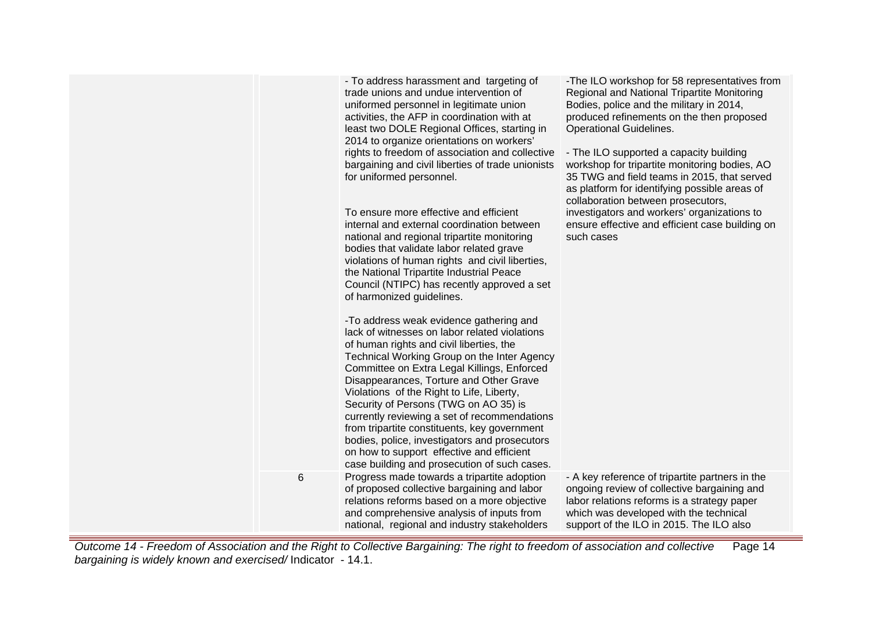|   | - To address harassment and targeting of<br>trade unions and undue intervention of<br>uniformed personnel in legitimate union<br>activities, the AFP in coordination with at<br>least two DOLE Regional Offices, starting in<br>2014 to organize orientations on workers'<br>rights to freedom of association and collective<br>bargaining and civil liberties of trade unionists<br>for uniformed personnel.<br>To ensure more effective and efficient<br>internal and external coordination between<br>national and regional tripartite monitoring<br>bodies that validate labor related grave<br>violations of human rights and civil liberties,<br>the National Tripartite Industrial Peace<br>Council (NTIPC) has recently approved a set<br>of harmonized guidelines.<br>- To address weak evidence gathering and<br>lack of witnesses on labor related violations | -The ILO workshop for 58 representatives from<br>Regional and National Tripartite Monitoring<br>Bodies, police and the military in 2014,<br>produced refinements on the then proposed<br><b>Operational Guidelines.</b><br>- The ILO supported a capacity building<br>workshop for tripartite monitoring bodies, AO<br>35 TWG and field teams in 2015, that served<br>as platform for identifying possible areas of<br>collaboration between prosecutors,<br>investigators and workers' organizations to<br>ensure effective and efficient case building on<br>such cases |
|---|--------------------------------------------------------------------------------------------------------------------------------------------------------------------------------------------------------------------------------------------------------------------------------------------------------------------------------------------------------------------------------------------------------------------------------------------------------------------------------------------------------------------------------------------------------------------------------------------------------------------------------------------------------------------------------------------------------------------------------------------------------------------------------------------------------------------------------------------------------------------------|---------------------------------------------------------------------------------------------------------------------------------------------------------------------------------------------------------------------------------------------------------------------------------------------------------------------------------------------------------------------------------------------------------------------------------------------------------------------------------------------------------------------------------------------------------------------------|
|   | of human rights and civil liberties, the<br>Technical Working Group on the Inter Agency<br>Committee on Extra Legal Killings, Enforced<br>Disappearances, Torture and Other Grave<br>Violations of the Right to Life, Liberty,<br>Security of Persons (TWG on AO 35) is<br>currently reviewing a set of recommendations<br>from tripartite constituents, key government<br>bodies, police, investigators and prosecutors<br>on how to support effective and efficient<br>case building and prosecution of such cases.                                                                                                                                                                                                                                                                                                                                                    |                                                                                                                                                                                                                                                                                                                                                                                                                                                                                                                                                                           |
| 6 | Progress made towards a tripartite adoption<br>of proposed collective bargaining and labor<br>relations reforms based on a more objective<br>and comprehensive analysis of inputs from<br>national, regional and industry stakeholders                                                                                                                                                                                                                                                                                                                                                                                                                                                                                                                                                                                                                                   | - A key reference of tripartite partners in the<br>ongoing review of collective bargaining and<br>labor relations reforms is a strategy paper<br>which was developed with the technical<br>support of the ILO in 2015. The ILO also                                                                                                                                                                                                                                                                                                                                       |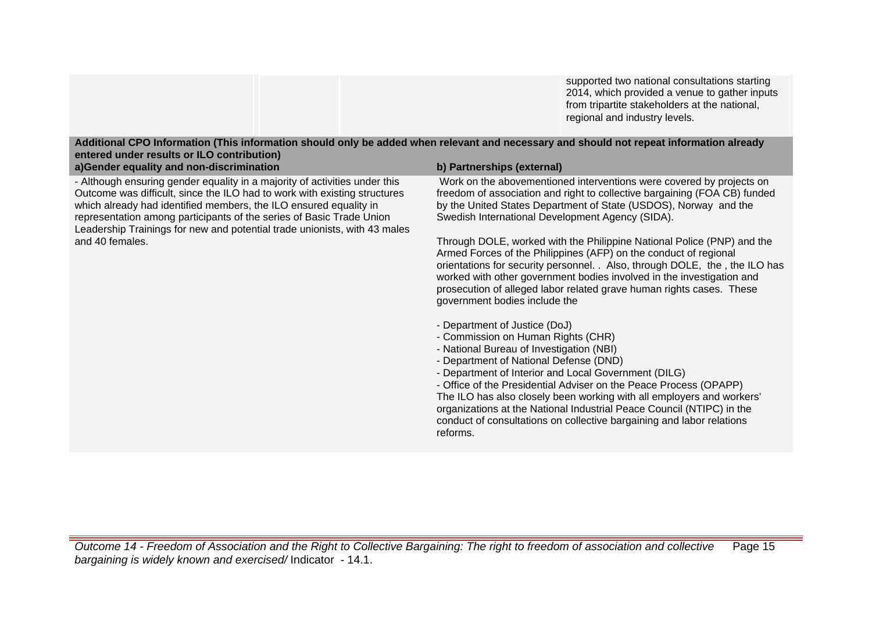supported two national consultations starting 2014, which provided a venue to gather inputs from tripartite stakeholders at the national, regional and industry levels.

| entered under results or ILO contribution)                                                                                                                                                                                                                                                                                                                                                           |                                                                                                                                                                                                                                                                                                                                                                                                                                                                                                                                                                                                                                                                                                                                                                                                                                                                                                                                                                                                                                                                                                                                                                                                                           |
|------------------------------------------------------------------------------------------------------------------------------------------------------------------------------------------------------------------------------------------------------------------------------------------------------------------------------------------------------------------------------------------------------|---------------------------------------------------------------------------------------------------------------------------------------------------------------------------------------------------------------------------------------------------------------------------------------------------------------------------------------------------------------------------------------------------------------------------------------------------------------------------------------------------------------------------------------------------------------------------------------------------------------------------------------------------------------------------------------------------------------------------------------------------------------------------------------------------------------------------------------------------------------------------------------------------------------------------------------------------------------------------------------------------------------------------------------------------------------------------------------------------------------------------------------------------------------------------------------------------------------------------|
| a)Gender equality and non-discrimination                                                                                                                                                                                                                                                                                                                                                             | b) Partnerships (external)                                                                                                                                                                                                                                                                                                                                                                                                                                                                                                                                                                                                                                                                                                                                                                                                                                                                                                                                                                                                                                                                                                                                                                                                |
| - Although ensuring gender equality in a majority of activities under this<br>Outcome was difficult, since the ILO had to work with existing structures<br>which already had identified members, the ILO ensured equality in<br>representation among participants of the series of Basic Trade Union<br>Leadership Trainings for new and potential trade unionists, with 43 males<br>and 40 females. | Work on the abovementioned interventions were covered by projects on<br>freedom of association and right to collective bargaining (FOA CB) funded<br>by the United States Department of State (USDOS), Norway and the<br>Swedish International Development Agency (SIDA).<br>Through DOLE, worked with the Philippine National Police (PNP) and the<br>Armed Forces of the Philippines (AFP) on the conduct of regional<br>orientations for security personnel. . Also, through DOLE, the, the ILO has<br>worked with other government bodies involved in the investigation and<br>prosecution of alleged labor related grave human rights cases. These<br>government bodies include the<br>- Department of Justice (DoJ)<br>- Commission on Human Rights (CHR)<br>- National Bureau of Investigation (NBI)<br>- Department of National Defense (DND)<br>- Department of Interior and Local Government (DILG)<br>- Office of the Presidential Adviser on the Peace Process (OPAPP)<br>The ILO has also closely been working with all employers and workers'<br>organizations at the National Industrial Peace Council (NTIPC) in the<br>conduct of consultations on collective bargaining and labor relations<br>reforms. |

**Additional CPO Information (This information should only be added when relevant and necessary and should not repeat information already**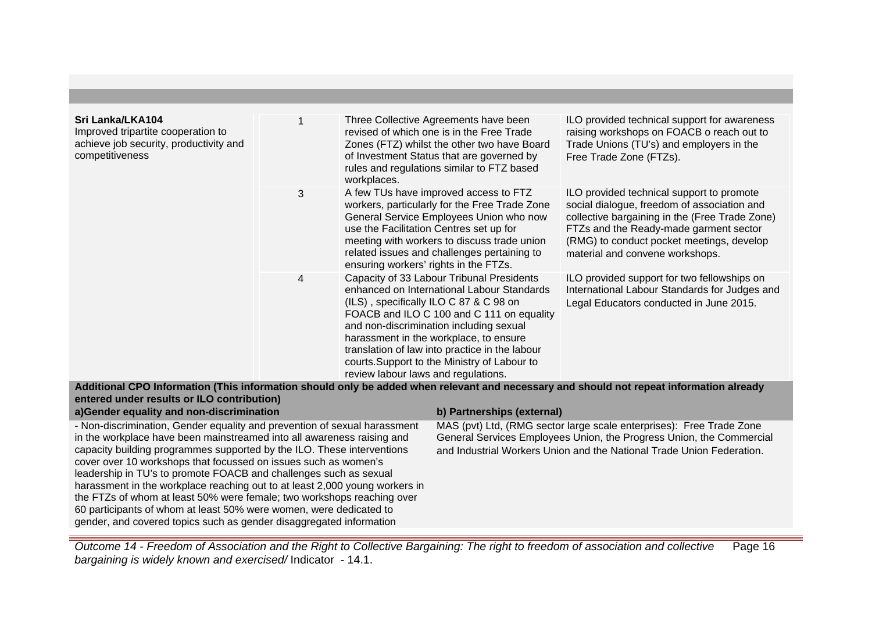| Sri Lanka/LKA104<br>Improved tripartite cooperation to<br>achieve job security, productivity and<br>competitiveness |   | Three Collective Agreements have been<br>revised of which one is in the Free Trade<br>Zones (FTZ) whilst the other two have Board<br>of Investment Status that are governed by<br>rules and regulations similar to FTZ based<br>workplaces.                                                                                                                                                                  | ILO provided technical support for awareness<br>raising workshops on FOACB o reach out to<br>Trade Unions (TU's) and employers in the<br>Free Trade Zone (FTZs).                                                                                                     |
|---------------------------------------------------------------------------------------------------------------------|---|--------------------------------------------------------------------------------------------------------------------------------------------------------------------------------------------------------------------------------------------------------------------------------------------------------------------------------------------------------------------------------------------------------------|----------------------------------------------------------------------------------------------------------------------------------------------------------------------------------------------------------------------------------------------------------------------|
|                                                                                                                     | 3 | A few TUs have improved access to FTZ<br>workers, particularly for the Free Trade Zone<br>General Service Employees Union who now<br>use the Facilitation Centres set up for<br>meeting with workers to discuss trade union<br>related issues and challenges pertaining to<br>ensuring workers' rights in the FTZs.                                                                                          | ILO provided technical support to promote<br>social dialogue, freedom of association and<br>collective bargaining in the (Free Trade Zone)<br>FTZs and the Ready-made garment sector<br>(RMG) to conduct pocket meetings, develop<br>material and convene workshops. |
|                                                                                                                     | 4 | Capacity of 33 Labour Tribunal Presidents<br>enhanced on International Labour Standards<br>(ILS), specifically ILO C 87 & C 98 on<br>FOACB and ILO C 100 and C 111 on equality<br>and non-discrimination including sexual<br>harassment in the workplace, to ensure<br>translation of law into practice in the labour<br>courts. Support to the Ministry of Labour to<br>review labour laws and regulations. | ILO provided support for two fellowships on<br>International Labour Standards for Judges and<br>Legal Educators conducted in June 2015.                                                                                                                              |

**Additional CPO Information (This information should only be added when relevant and necessary and should not repeat information already entered under results or ILO contribution)**

| a) Gender equality and non-discrimination                                   | b) Partnerships (external)                                            |
|-----------------------------------------------------------------------------|-----------------------------------------------------------------------|
| - Non-discrimination, Gender equality and prevention of sexual harassment   | MAS (pvt) Ltd, (RMG sector large scale enterprises): Free Trade Zone  |
| in the workplace have been mainstreamed into all awareness raising and      | General Services Employees Union, the Progress Union, the Commercial  |
| capacity building programmes supported by the ILO. These interventions      | and Industrial Workers Union and the National Trade Union Federation. |
| cover over 10 workshops that focussed on issues such as women's             |                                                                       |
| leadership in TU's to promote FOACB and challenges such as sexual           |                                                                       |
| harassment in the workplace reaching out to at least 2,000 young workers in |                                                                       |
| the FTZs of whom at least 50% were female; two workshops reaching over      |                                                                       |
| 60 participants of whom at least 50% were women, were dedicated to          |                                                                       |
| gender, and covered topics such as gender disaggregated information         |                                                                       |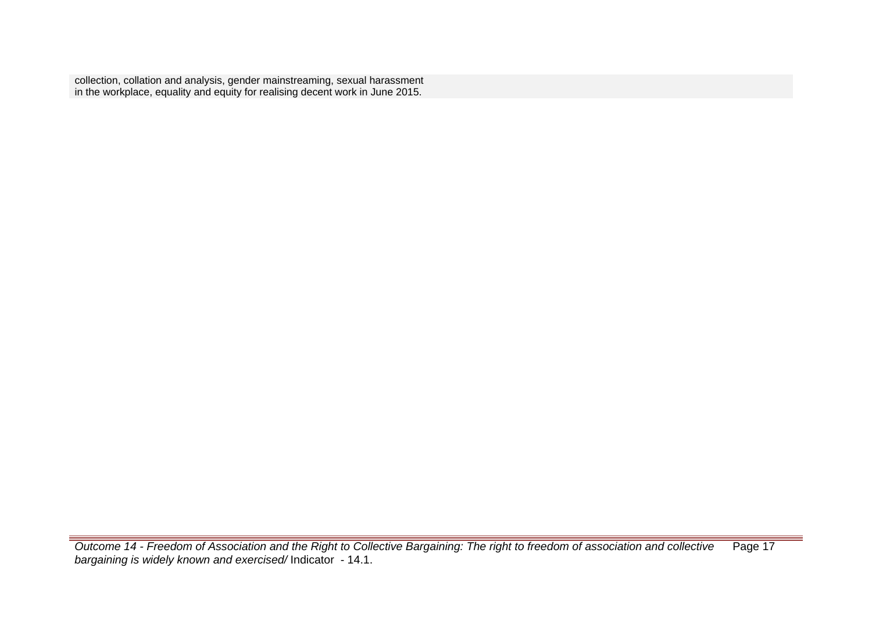collection, collation and analysis, gender mainstreaming, sexual harassment in the workplace, equality and equity for realising decent work in June 2015.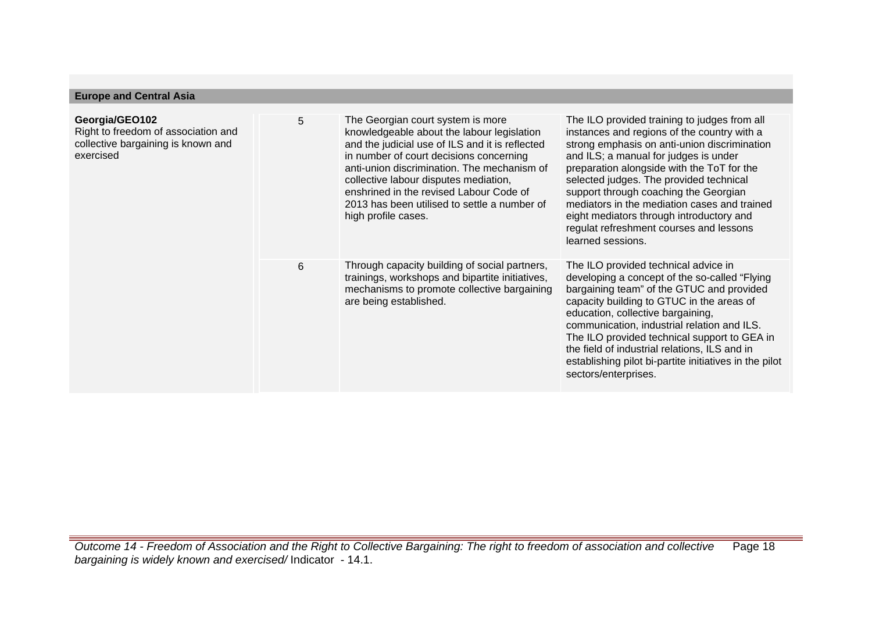| <b>Europe and Central Asia</b>                                                                           |   |                                                                                                                                                                                                                                                                                                                                                                                         |                                                                                                                                                                                                                                                                                                                                                                                                                                                                                    |
|----------------------------------------------------------------------------------------------------------|---|-----------------------------------------------------------------------------------------------------------------------------------------------------------------------------------------------------------------------------------------------------------------------------------------------------------------------------------------------------------------------------------------|------------------------------------------------------------------------------------------------------------------------------------------------------------------------------------------------------------------------------------------------------------------------------------------------------------------------------------------------------------------------------------------------------------------------------------------------------------------------------------|
| Georgia/GEO102<br>Right to freedom of association and<br>collective bargaining is known and<br>exercised | 5 | The Georgian court system is more<br>knowledgeable about the labour legislation<br>and the judicial use of ILS and it is reflected<br>in number of court decisions concerning<br>anti-union discrimination. The mechanism of<br>collective labour disputes mediation,<br>enshrined in the revised Labour Code of<br>2013 has been utilised to settle a number of<br>high profile cases. | The ILO provided training to judges from all<br>instances and regions of the country with a<br>strong emphasis on anti-union discrimination<br>and ILS; a manual for judges is under<br>preparation alongside with the ToT for the<br>selected judges. The provided technical<br>support through coaching the Georgian<br>mediators in the mediation cases and trained<br>eight mediators through introductory and<br>regulat refreshment courses and lessons<br>learned sessions. |
|                                                                                                          | 6 | Through capacity building of social partners,<br>trainings, workshops and bipartite initiatives,<br>mechanisms to promote collective bargaining<br>are being established.                                                                                                                                                                                                               | The ILO provided technical advice in<br>developing a concept of the so-called "Flying"<br>bargaining team" of the GTUC and provided<br>capacity building to GTUC in the areas of<br>education, collective bargaining,<br>communication, industrial relation and ILS.<br>The ILO provided technical support to GEA in<br>the field of industrial relations, ILS and in<br>establishing pilot bi-partite initiatives in the pilot<br>sectors/enterprises.                            |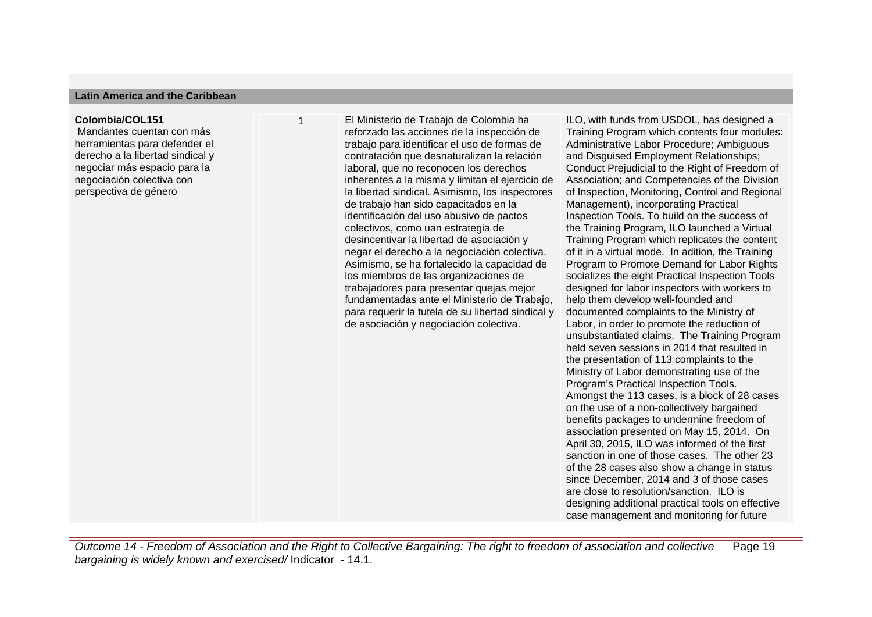#### **Latin America and the Caribbean**

#### **Colombia/COL151**

 Mandantes cuentan con más herramientas para defender el derecho a la libertad sindical y negociar más espacio para la negociación colectiva con perspectiva de género

1 El Ministerio de Trabajo de Colombia ha reforzado las acciones de la inspección de trabajo para identificar el uso de formas de contratación que desnaturalizan la relación laboral, que no reconocen los derechos inherentes a la misma y limitan el ejercicio de la libertad sindical. Asimismo, los inspectores de trabajo han sido capacitados en la identificación del uso abusivo de pactos colectivos, como uan estrategia de desincentivar la libertad de asociación y negar el derecho a la negociación colectiva. Asimismo, se ha fortalecido la capacidad de los miembros de las organizaciones de trabajadores para presentar quejas mejor fundamentadas ante el Ministerio de Trabajo, para requerir la tutela de su libertad sindical y de asociación y negociación colectiva.

ILO, with funds from USDOL, has designed a Training Program which contents four modules: Administrative Labor Procedure; Ambiguous and Disguised Employment Relationships; Conduct Prejudicial to the Right of Freedom of Association; and Competencies of the Division of Inspection, Monitoring, Control and Regional Management), incorporating Practical Inspection Tools. To build on the success of the Training Program, ILO launched a Virtual Training Program which replicates the content of it in a virtual mode. In adition, the Training Program to Promote Demand for Labor Rights socializes the eight Practical Inspection Tools designed for labor inspectors with workers to help them develop well-founded and documented complaints to the Ministry of Labor, in order to promote the reduction of unsubstantiated claims. The Training Program held seven sessions in 2014 that resulted in the presentation of 113 complaints to the Ministry of Labor demonstrating use of the Program's Practical Inspection Tools. Amongst the 113 cases, is a block of 28 cases on the use of a non-collectively bargained benefits packages to undermine freedom of association presented on May 15, 2014. On April 30, 2015, ILO was informed of the first sanction in one of those cases. The other 23 of the 28 cases also show a change in status since December, 2014 and 3 of those cases are close to resolution/sanction. If  $\Omega$  is designing additional practical tools on effective case management and monitoring for future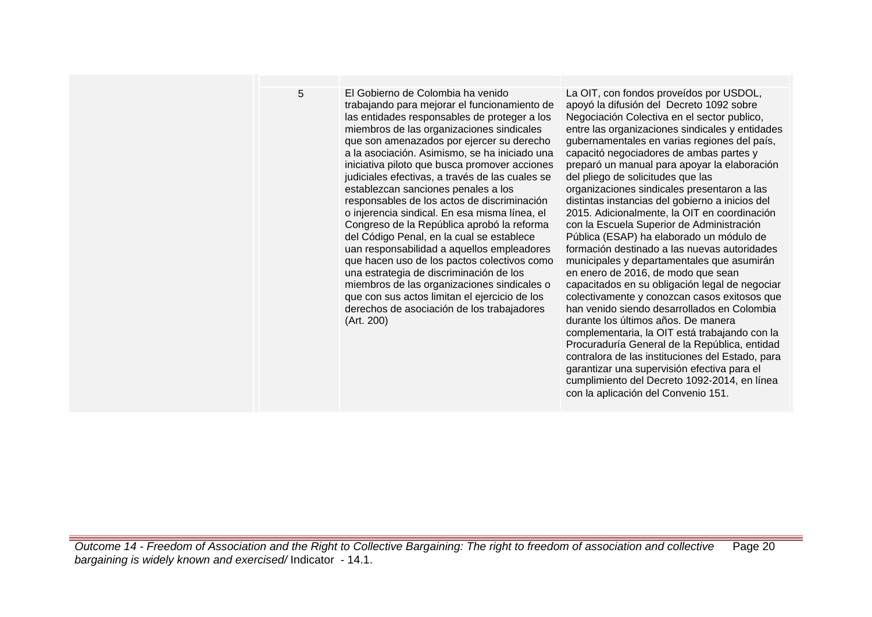5 El Gobierno de Colombia ha venido trabajando para mejorar el funcionamiento de las entidades responsables de proteger a los miembros de las organizaciones sindicales que son amenazados por ejercer su derecho a la asociación. Asimismo, se ha iniciado una iniciativa piloto que busca promover acciones judiciales efectivas, a través de las cuales se establezcan sanciones penales a los responsables de los actos de discriminación o injerencia sindical. En esa misma línea, el Congreso de la República aprobó la reforma del Código Penal, en la cual se establece uan responsabilidad a aquellos empleadores que hacen uso de los pactos colectivos como una estrategia de discriminación de los miembros de las organizaciones sindicales o que con sus actos limitan el ejercicio de los derechos de asociación de los trabajadores (Art. 200)

La OIT, con fondos proveídos por USDOL, apoyó la difusión del Decreto 1092 sobre Negociación Colectiva en el sector publico, entre las organizaciones sindicales y entidades gubernamentales en varias regiones del país, capacitó negociadores de ambas partes y preparó un manual para apoyar la elaboración del pliego de solicitudes que las organizaciones sindicales presentaron a las distintas instancias del gobierno a inicios del 2015. Adicionalmente, la OIT en coordinación con la Escuela Superior de Administración Pública (ESAP) ha elaborado un módulo de formación destinado a las nuevas autoridades municipales y departamentales que asumirán en enero de 2016, de modo que sean capacitados en su obligación legal de negociar colectivamente y conozcan casos exitosos que han venido siendo desarrollados en Colombia durante los últimos años. De manera complementaria, la OIT está trabajando con la Procuraduría General de la República, entidad contralora de las instituciones del Estado, para garantizar una supervisión efectiva para el cumplimiento del Decreto 1092-2014, en línea con la aplicación del Convenio 151.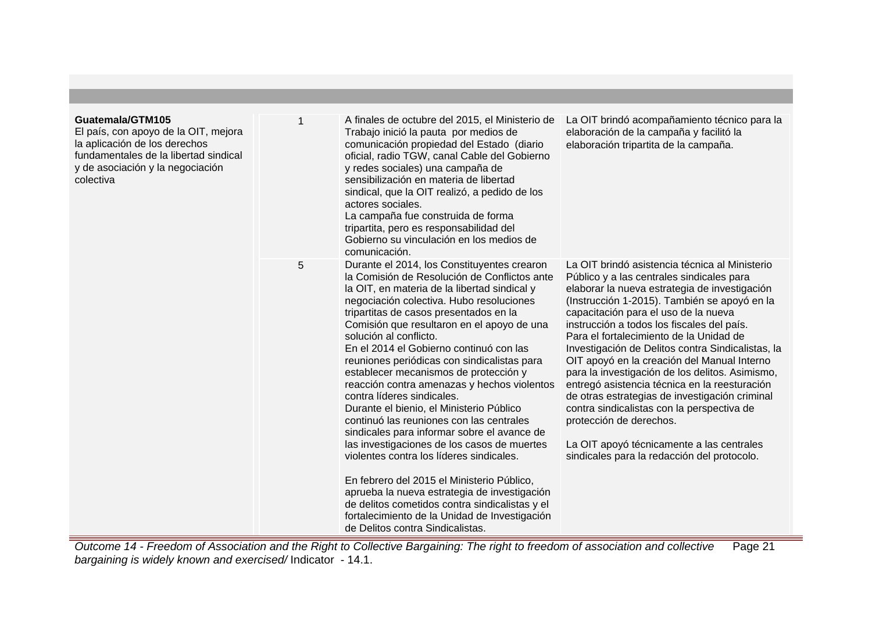| Guatemala/GTM105<br>El país, con apoyo de la OIT, mejora<br>la aplicación de los derechos<br>fundamentales de la libertad sindical<br>y de asociación y la negociación<br>colectiva |   | A finales de octubre del 2015, el Ministerio de<br>Trabajo inició la pauta por medios de<br>comunicación propiedad del Estado (diario<br>oficial, radio TGW, canal Cable del Gobierno<br>y redes sociales) una campaña de<br>sensibilización en materia de libertad<br>sindical, que la OIT realizó, a pedido de los<br>actores sociales.<br>La campaña fue construida de forma<br>tripartita, pero es responsabilidad del<br>Gobierno su vinculación en los medios de<br>comunicación.                                                                                                                                                                                                                                                                                                                                                                                                                                                                                                          | La OIT brindó acompañamiento técnico para la<br>elaboración de la campaña y facilitó la<br>elaboración tripartita de la campaña.                                                                                                                                                                                                                                                                                                                                                                                                                                                                                                                                                                                                                             |
|-------------------------------------------------------------------------------------------------------------------------------------------------------------------------------------|---|--------------------------------------------------------------------------------------------------------------------------------------------------------------------------------------------------------------------------------------------------------------------------------------------------------------------------------------------------------------------------------------------------------------------------------------------------------------------------------------------------------------------------------------------------------------------------------------------------------------------------------------------------------------------------------------------------------------------------------------------------------------------------------------------------------------------------------------------------------------------------------------------------------------------------------------------------------------------------------------------------|--------------------------------------------------------------------------------------------------------------------------------------------------------------------------------------------------------------------------------------------------------------------------------------------------------------------------------------------------------------------------------------------------------------------------------------------------------------------------------------------------------------------------------------------------------------------------------------------------------------------------------------------------------------------------------------------------------------------------------------------------------------|
|                                                                                                                                                                                     | 5 | Durante el 2014, los Constituyentes crearon<br>la Comisión de Resolución de Conflictos ante<br>la OIT, en materia de la libertad sindical y<br>negociación colectiva. Hubo resoluciones<br>tripartitas de casos presentados en la<br>Comisión que resultaron en el apoyo de una<br>solución al conflicto.<br>En el 2014 el Gobierno continuó con las<br>reuniones periódicas con sindicalistas para<br>establecer mecanismos de protección y<br>reacción contra amenazas y hechos violentos<br>contra líderes sindicales.<br>Durante el bienio, el Ministerio Público<br>continuó las reuniones con las centrales<br>sindicales para informar sobre el avance de<br>las investigaciones de los casos de muertes<br>violentes contra los líderes sindicales.<br>En febrero del 2015 el Ministerio Público,<br>aprueba la nueva estrategia de investigación<br>de delitos cometidos contra sindicalistas y el<br>fortalecimiento de la Unidad de Investigación<br>de Delitos contra Sindicalistas. | La OIT brindó asistencia técnica al Ministerio<br>Público y a las centrales sindicales para<br>elaborar la nueva estrategia de investigación<br>(Instrucción 1-2015). También se apoyó en la<br>capacitación para el uso de la nueva<br>instrucción a todos los fiscales del país.<br>Para el fortalecimiento de la Unidad de<br>Investigación de Delitos contra Sindicalistas, la<br>OIT apoyó en la creación del Manual Interno<br>para la investigación de los delitos. Asimismo,<br>entregó asistencia técnica en la reesturación<br>de otras estrategias de investigación criminal<br>contra sindicalistas con la perspectiva de<br>protección de derechos.<br>La OIT apoyó técnicamente a las centrales<br>sindicales para la redacción del protocolo. |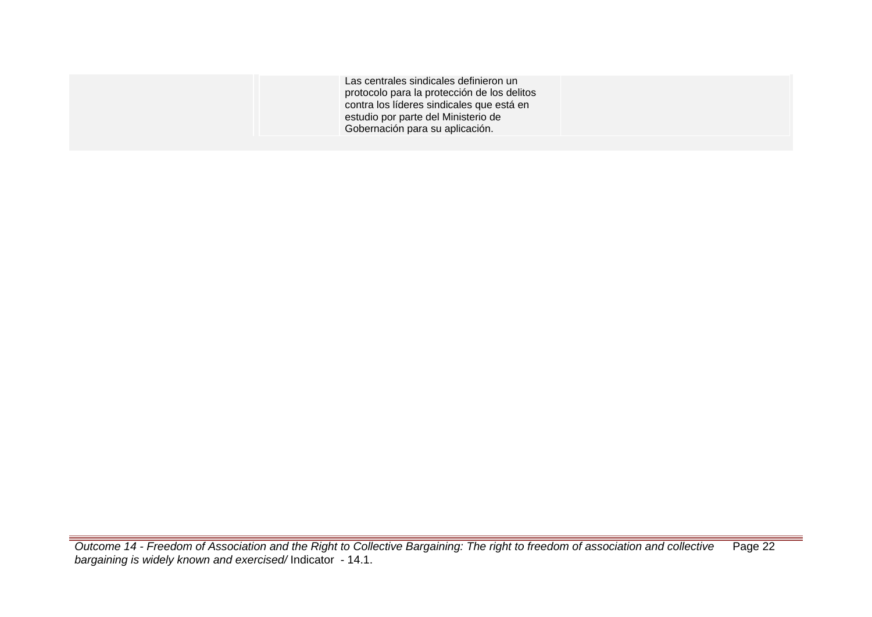Las centrales sindicales definieron un protocolo para la protección de los delitos contra los líderes sindicales que está en estudio por parte del Ministerio de Gobernación para su aplicación.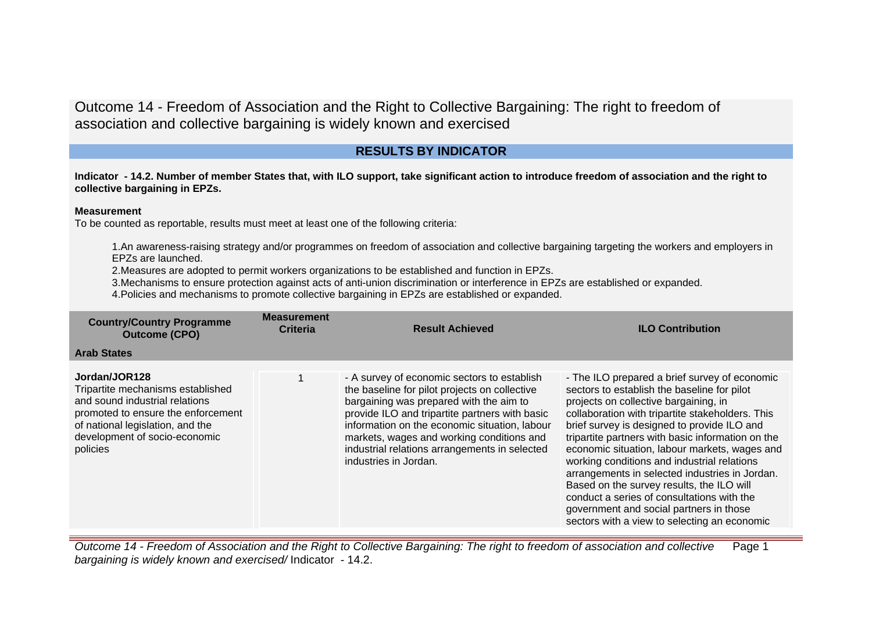# **RESULTS BY INDICATOR**

**Indicator - 14.2. Number of member States that, with ILO support, take significant action to introduce freedom of association and the right to collective bargaining in EPZs.**

#### **Measurement**

To be counted as reportable, results must meet at least one of the following criteria:

1.An awareness-raising strategy and/or programmes on freedom of association and collective bargaining targeting the workers and employers in EPZs are launched.

2.Measures are adopted to permit workers organizations to be established and function in EPZs.

3.Mechanisms to ensure protection against acts of anti-union discrimination or interference in EPZs are established or expanded.

4.Policies and mechanisms to promote collective bargaining in EPZs are established or expanded.

| <b>Country/Country Programme</b><br><b>Outcome (CPO)</b>                                                                                                                                                    | <b>Measurement</b><br><b>Criteria</b> | <b>Result Achieved</b>                                                                                                                                                                                                                                                                                                                                            | <b>ILO Contribution</b>                                                                                                                                                                                                                                                                                                                                                                                                                                                                                                                                                                                                               |
|-------------------------------------------------------------------------------------------------------------------------------------------------------------------------------------------------------------|---------------------------------------|-------------------------------------------------------------------------------------------------------------------------------------------------------------------------------------------------------------------------------------------------------------------------------------------------------------------------------------------------------------------|---------------------------------------------------------------------------------------------------------------------------------------------------------------------------------------------------------------------------------------------------------------------------------------------------------------------------------------------------------------------------------------------------------------------------------------------------------------------------------------------------------------------------------------------------------------------------------------------------------------------------------------|
| <b>Arab States</b>                                                                                                                                                                                          |                                       |                                                                                                                                                                                                                                                                                                                                                                   |                                                                                                                                                                                                                                                                                                                                                                                                                                                                                                                                                                                                                                       |
| Jordan/JOR128<br>Tripartite mechanisms established<br>and sound industrial relations<br>promoted to ensure the enforcement<br>of national legislation, and the<br>development of socio-economic<br>policies |                                       | - A survey of economic sectors to establish<br>the baseline for pilot projects on collective<br>bargaining was prepared with the aim to<br>provide ILO and tripartite partners with basic<br>information on the economic situation, labour<br>markets, wages and working conditions and<br>industrial relations arrangements in selected<br>industries in Jordan. | - The ILO prepared a brief survey of economic<br>sectors to establish the baseline for pilot<br>projects on collective bargaining, in<br>collaboration with tripartite stakeholders. This<br>brief survey is designed to provide ILO and<br>tripartite partners with basic information on the<br>economic situation, labour markets, wages and<br>working conditions and industrial relations<br>arrangements in selected industries in Jordan.<br>Based on the survey results, the ILO will<br>conduct a series of consultations with the<br>government and social partners in those<br>sectors with a view to selecting an economic |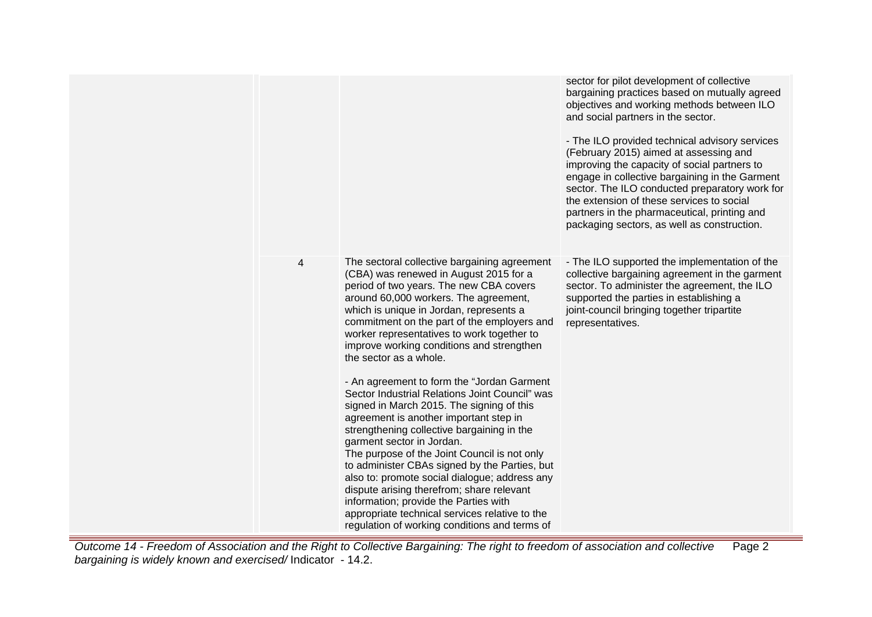|   |                                                                                                                                                                                                                                                                                                                                                                                                                                                                                                                                                                                                                                                                                                                                                                                                                                                                                                                                                                                                        | sector for pilot development of collective<br>bargaining practices based on mutually agreed<br>objectives and working methods between ILO<br>and social partners in the sector.<br>- The ILO provided technical advisory services<br>(February 2015) aimed at assessing and<br>improving the capacity of social partners to<br>engage in collective bargaining in the Garment<br>sector. The ILO conducted preparatory work for<br>the extension of these services to social<br>partners in the pharmaceutical, printing and<br>packaging sectors, as well as construction. |
|---|--------------------------------------------------------------------------------------------------------------------------------------------------------------------------------------------------------------------------------------------------------------------------------------------------------------------------------------------------------------------------------------------------------------------------------------------------------------------------------------------------------------------------------------------------------------------------------------------------------------------------------------------------------------------------------------------------------------------------------------------------------------------------------------------------------------------------------------------------------------------------------------------------------------------------------------------------------------------------------------------------------|-----------------------------------------------------------------------------------------------------------------------------------------------------------------------------------------------------------------------------------------------------------------------------------------------------------------------------------------------------------------------------------------------------------------------------------------------------------------------------------------------------------------------------------------------------------------------------|
| 4 | The sectoral collective bargaining agreement<br>(CBA) was renewed in August 2015 for a<br>period of two years. The new CBA covers<br>around 60,000 workers. The agreement,<br>which is unique in Jordan, represents a<br>commitment on the part of the employers and<br>worker representatives to work together to<br>improve working conditions and strengthen<br>the sector as a whole.<br>- An agreement to form the "Jordan Garment<br>Sector Industrial Relations Joint Council" was<br>signed in March 2015. The signing of this<br>agreement is another important step in<br>strengthening collective bargaining in the<br>garment sector in Jordan.<br>The purpose of the Joint Council is not only<br>to administer CBAs signed by the Parties, but<br>also to: promote social dialogue; address any<br>dispute arising therefrom; share relevant<br>information; provide the Parties with<br>appropriate technical services relative to the<br>regulation of working conditions and terms of | - The ILO supported the implementation of the<br>collective bargaining agreement in the garment<br>sector. To administer the agreement, the ILO<br>supported the parties in establishing a<br>joint-council bringing together tripartite<br>representatives.                                                                                                                                                                                                                                                                                                                |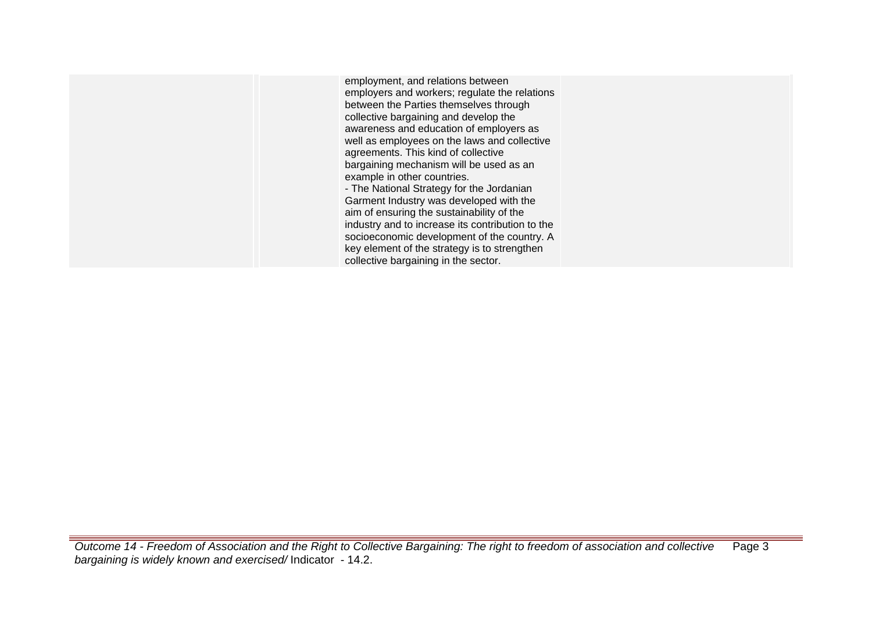employment, and relations between employers and workers; regulate the relations between the Parties themselves through collective bargaining and develop the awareness and education of employers as well as employees on the laws and collective agreements. This kind of collective bargaining mechanism will be used as an example in other countries. - The National Strategy for the Jordanian Garment Industry was developed with the aim of ensuring the sustainability of the industry and to increase its contribution to the socioeconomic development of the country. A key element of the strategy is to strengthen collective bargaining in the sector.